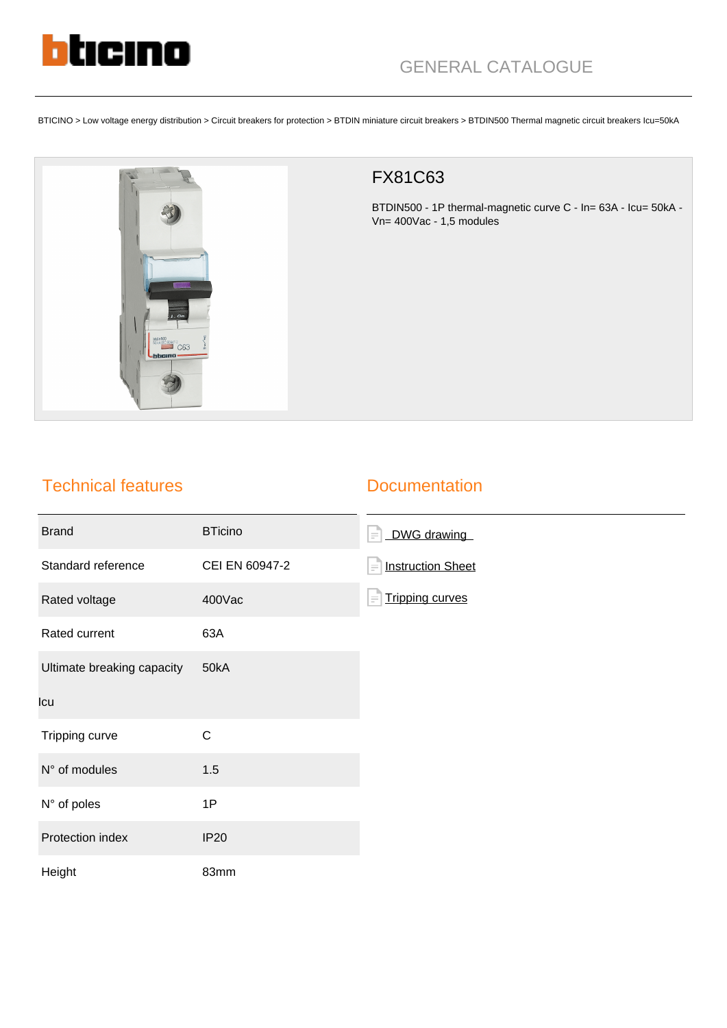

BTICINO > Low voltage energy distribution > Circuit breakers for protection > BTDIN miniature circuit breakers > BTDIN500 Thermal magnetic circuit breakers Icu=50kA



## FX81C63

BTDIN500 - 1P thermal-magnetic curve C - In= 63A - Icu= 50kA - Vn= 400Vac - 1,5 modules

## Technical features

## **Documentation**

| <b>Brand</b>               | <b>BTicino</b> | DWG drawing<br>$\equiv$              |
|----------------------------|----------------|--------------------------------------|
| Standard reference         | CEI EN 60947-2 | <b>Instruction Sheet</b><br>$\equiv$ |
| Rated voltage              | 400Vac         | <b>Tripping curves</b><br>$\equiv$   |
| Rated current              | 63A            |                                      |
| Ultimate breaking capacity | 50kA           |                                      |
| Icu                        |                |                                      |
| Tripping curve             | $\mathsf C$    |                                      |
| N° of modules              | 1.5            |                                      |
| N° of poles                | 1P             |                                      |
| Protection index           | <b>IP20</b>    |                                      |
| Height                     | 83mm           |                                      |